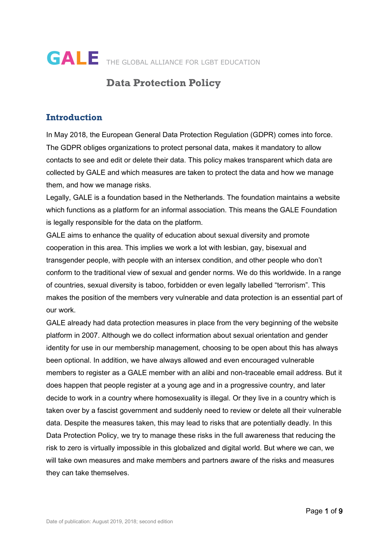

# **Data Protection Policy**

## **Introduction**

In May 2018, the European General Data Protection Regulation (GDPR) comes into force. The GDPR obliges organizations to protect personal data, makes it mandatory to allow contacts to see and edit or delete their data. This policy makes transparent which data are collected by GALE and which measures are taken to protect the data and how we manage them, and how we manage risks.

Legally, GALE is a foundation based in the Netherlands. The foundation maintains a website which functions as a platform for an informal association. This means the GALE Foundation is legally responsible for the data on the platform.

GALE aims to enhance the quality of education about sexual diversity and promote cooperation in this area. This implies we work a lot with lesbian, gay, bisexual and transgender people, with people with an intersex condition, and other people who don't conform to the traditional view of sexual and gender norms. We do this worldwide. In a range of countries, sexual diversity is taboo, forbidden or even legally labelled "terrorism". This makes the position of the members very vulnerable and data protection is an essential part of our work.

GALE already had data protection measures in place from the very beginning of the website platform in 2007. Although we do collect information about sexual orientation and gender identity for use in our membership management, choosing to be open about this has always been optional. In addition, we have always allowed and even encouraged vulnerable members to register as a GALE member with an alibi and non-traceable email address. But it does happen that people register at a young age and in a progressive country, and later decide to work in a country where homosexuality is illegal. Or they live in a country which is taken over by a fascist government and suddenly need to review or delete all their vulnerable data. Despite the measures taken, this may lead to risks that are potentially deadly. In this Data Protection Policy, we try to manage these risks in the full awareness that reducing the risk to zero is virtually impossible in this globalized and digital world. But where we can, we will take own measures and make members and partners aware of the risks and measures they can take themselves.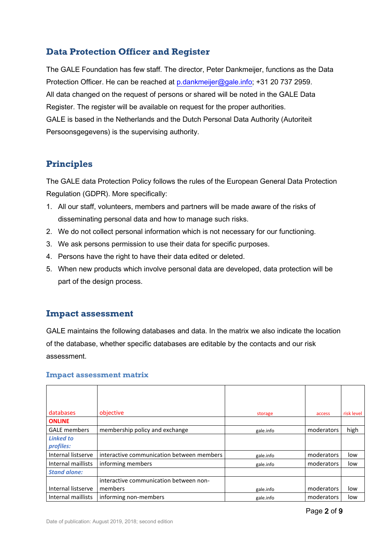## **Data Protection Officer and Register**

The GALE Foundation has few staff. The director, Peter Dankmeijer, functions as the Data Protection Officer. He can be reached at [p.dankmeijer@gale.info;](mailto:p.dankmeijer@gale.info) +31 20 737 2959. All data changed on the request of persons or shared will be noted in the GALE Data Register. The register will be available on request for the proper authorities. GALE is based in the Netherlands and the Dutch Personal Data Authority (Autoriteit Persoonsgegevens) is the supervising authority.

## **Principles**

The GALE data Protection Policy follows the rules of the European General Data Protection Regulation (GDPR). More specifically:

- 1. All our staff, volunteers, members and partners will be made aware of the risks of disseminating personal data and how to manage such risks.
- 2. We do not collect personal information which is not necessary for our functioning.
- 3. We ask persons permission to use their data for specific purposes.
- 4. Persons have the right to have their data edited or deleted.
- 5. When new products which involve personal data are developed, data protection will be part of the design process.

## **Impact assessment**

GALE maintains the following databases and data. In the matrix we also indicate the location of the database, whether specific databases are editable by the contacts and our risk assessment.

| databases           | objective                                 | storage   | access     | risk level |
|---------------------|-------------------------------------------|-----------|------------|------------|
| <b>ONLINE</b>       |                                           |           |            |            |
| <b>GALE</b> members | membership policy and exchange            | gale.info | moderators | high       |
| <b>Linked to</b>    |                                           |           |            |            |
| profiles:           |                                           |           |            |            |
| Internal listserve  | interactive communication between members | gale.info | moderators | low        |
| Internal maillists  | informing members                         | gale.info | moderators | low        |
| <b>Stand alone:</b> |                                           |           |            |            |
|                     | interactive communication between non-    |           |            |            |
| Internal listserve  | members                                   | gale.info | moderators | low        |
| Internal maillists  | informing non-members                     | gale.info | moderators | low        |

#### **Impact assessment matrix**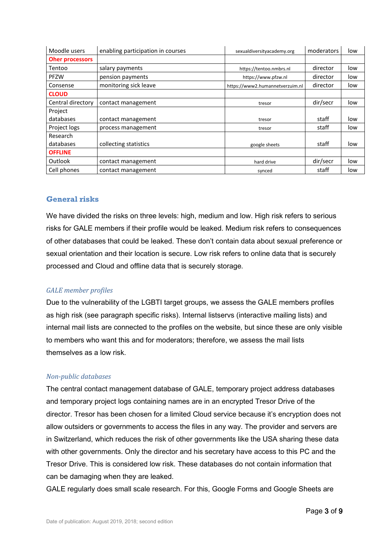| Moodle users           | enabling participation in courses | sexualdiversityacademy.org      | moderators | low |
|------------------------|-----------------------------------|---------------------------------|------------|-----|
| <b>Oher processors</b> |                                   |                                 |            |     |
| Tentoo                 | salary payments                   | https://tentoo.nmbrs.nl         | director   | low |
| <b>PFZW</b>            | pension payments                  | https://www.pfzw.nl             | director   | low |
| Consense               | monitoring sick leave             | https://www2.humannetverzuim.nl | director   | low |
| <b>CLOUD</b>           |                                   |                                 |            |     |
| Central directory      | contact management                | tresor                          | dir/secr   | low |
| Project                |                                   |                                 |            |     |
| databases              | contact management                | tresor                          | staff      | low |
| Project logs           | process management                | tresor                          | staff      | low |
| Research               |                                   |                                 |            |     |
| databases              | collecting statistics             | google sheets                   | staff      | low |
| <b>OFFLINE</b>         |                                   |                                 |            |     |
| Outlook                | contact management                | hard drive                      | dir/secr   | low |
| Cell phones            | contact management                | synced                          | staff      | low |

## **General risks**

We have divided the risks on three levels: high, medium and low. High risk refers to serious risks for GALE members if their profile would be leaked. Medium risk refers to consequences of other databases that could be leaked. These don't contain data about sexual preference or sexual orientation and their location is secure. Low risk refers to online data that is securely processed and Cloud and offline data that is securely storage.

## *GALE member profiles*

Due to the vulnerability of the LGBTI target groups, we assess the GALE members profiles as high risk (see paragraph specific risks). Internal listservs (interactive mailing lists) and internal mail lists are connected to the profiles on the website, but since these are only visible to members who want this and for moderators; therefore, we assess the mail lists themselves as a low risk.

#### *Non-public databases*

The central contact management database of GALE, temporary project address databases and temporary project logs containing names are in an encrypted Tresor Drive of the director. Tresor has been chosen for a limited Cloud service because it's encryption does not allow outsiders or governments to access the files in any way. The provider and servers are in Switzerland, which reduces the risk of other governments like the USA sharing these data with other governments. Only the director and his secretary have access to this PC and the Tresor Drive. This is considered low risk. These databases do not contain information that can be damaging when they are leaked.

GALE regularly does small scale research. For this, Google Forms and Google Sheets are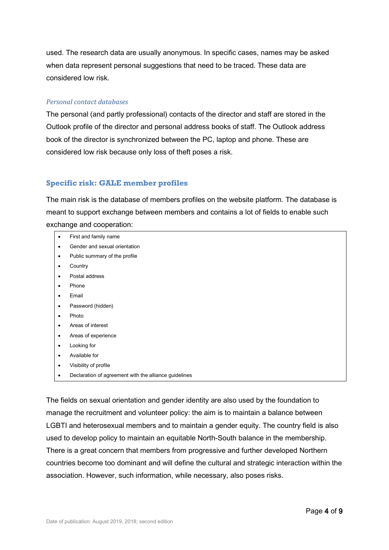used. The research data are usually anonymous. In specific cases, names may be asked when data represent personal suggestions that need to be traced. These data are considered low risk.

### *Personal contact databases*

The personal (and partly professional) contacts of the director and staff are stored in the Outlook profile of the director and personal address books of staff. The Outlook address book of the director is synchronized between the PC, laptop and phone. These are considered low risk because only loss of theft poses a risk.

## **Specific risk: GALE member profiles**

The main risk is the database of members profiles on the website platform. The database is meant to support exchange between members and contains a lot of fields to enable such exchange and cooperation:

- First and family name
- Gender and sexual orientation
- Public summary of the profile
- **Country**
- Postal address
- Phone
- Email
- Password (hidden)
- Photo
- Areas of interest
- Areas of experience
- **Looking for**
- Available for
- Visibility of profile
- Declaration of agreement with the alliance guidelines

The fields on sexual orientation and gender identity are also used by the foundation to manage the recruitment and volunteer policy: the aim is to maintain a balance between LGBTI and heterosexual members and to maintain a gender equity. The country field is also used to develop policy to maintain an equitable North-South balance in the membership. There is a great concern that members from progressive and further developed Northern countries become too dominant and will define the cultural and strategic interaction within the association. However, such information, while necessary, also poses risks.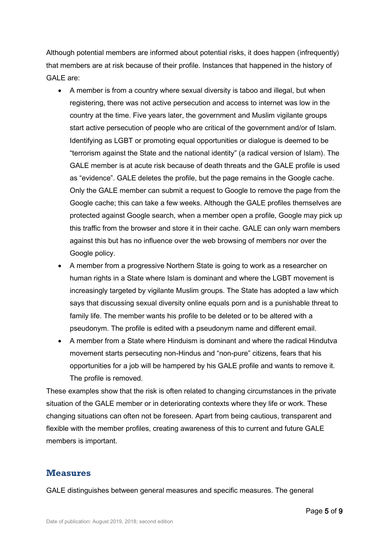Although potential members are informed about potential risks, it does happen (infrequently) that members are at risk because of their profile. Instances that happened in the history of GALE are:

- A member is from a country where sexual diversity is taboo and illegal, but when registering, there was not active persecution and access to internet was low in the country at the time. Five years later, the government and Muslim vigilante groups start active persecution of people who are critical of the government and/or of Islam. Identifying as LGBT or promoting equal opportunities or dialogue is deemed to be "terrorism against the State and the national identity" (a radical version of Islam). The GALE member is at acute risk because of death threats and the GALE profile is used as "evidence". GALE deletes the profile, but the page remains in the Google cache. Only the GALE member can submit a request to Google to remove the page from the Google cache; this can take a few weeks. Although the GALE profiles themselves are protected against Google search, when a member open a profile, Google may pick up this traffic from the browser and store it in their cache. GALE can only warn members against this but has no influence over the web browsing of members nor over the Google policy.
- A member from a progressive Northern State is going to work as a researcher on human rights in a State where Islam is dominant and where the LGBT movement is increasingly targeted by vigilante Muslim groups. The State has adopted a law which says that discussing sexual diversity online equals porn and is a punishable threat to family life. The member wants his profile to be deleted or to be altered with a pseudonym. The profile is edited with a pseudonym name and different email.
- A member from a State where Hinduism is dominant and where the radical Hindutva movement starts persecuting non-Hindus and "non-pure" citizens, fears that his opportunities for a job will be hampered by his GALE profile and wants to remove it. The profile is removed.

These examples show that the risk is often related to changing circumstances in the private situation of the GALE member or in deteriorating contexts where they life or work. These changing situations can often not be foreseen. Apart from being cautious, transparent and flexible with the member profiles, creating awareness of this to current and future GALE members is important.

## **Measures**

GALE distinguishes between general measures and specific measures. The general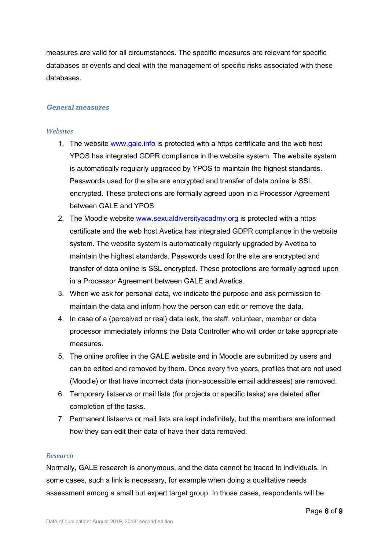measures are valid for all circumstances. The specific measures are relevant for specific databases or events and deal with the management of specific risks associated with these databases.

#### *General measures*

#### *Websites*

- 1. The website [www.gale.info](http://www.gale.info/) is protected with a https certificate and the web host YPOS has integrated GDPR compliance in the website system. The website system is automatically regularly upgraded by YPOS to maintain the highest standards. Passwords used for the site are encrypted and transfer of data online is SSL encrypted. These protections are formally agreed upon in a Processor Agreement between GALE and YPOS
- 2. The Moodle website [www.sexualdiversityacadmy.org](http://www.sexualdiversityacadmy.org/) is protected with a https certificate and the web host Avetica has integrated GDPR compliance in the website system. The website system is automatically regularly upgraded by Avetica to maintain the highest standards. Passwords used for the site are encrypted and transfer of data online is SSL encrypted. These protections are formally agreed upon in a Processor Agreement between GALE and Avetica.
- 3. When we ask for personal data, we indicate the purpose and ask permission to maintain the data and inform how the person can edit or remove the data.
- 4. In case of a (perceived or real) data leak, the staff, volunteer, member or data processor immediately informs the Data Controller who will order or take appropriate measures.
- 5. The online profiles in the GALE website and in Moodle are submitted by users and can be edited and removed by them. Once every five years, profiles that are not used (Moodle) or that have incorrect data (non-accessible email addresses) are removed.
- 6. Temporary listservs or mail lists (for projects or specific tasks) are deleted after completion of the tasks.
- 7. Permanent listservs or mail lists are kept indefinitely, but the members are informed how they can edit their data of have their data removed.

#### *Research*

Normally, GALE research is anonymous, and the data cannot be traced to individuals. In some cases, such a link is necessary, for example when doing a qualitative needs assessment among a small but expert target group. In those cases, respondents will be

Page 6 of 9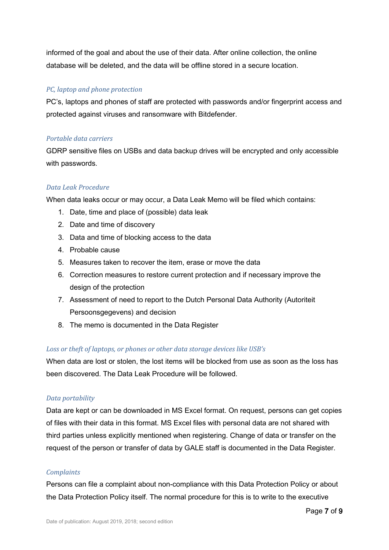informed of the goal and about the use of their data. After online collection, the online database will be deleted, and the data will be offline stored in a secure location.

## *PC, laptop and phone protection*

PC's, laptops and phones of staff are protected with passwords and/or fingerprint access and protected against viruses and ransomware with Bitdefender.

## *Portable data carriers*

GDRP sensitive files on USBs and data backup drives will be encrypted and only accessible with passwords.

## *Data Leak Procedure*

When data leaks occur or may occur, a Data Leak Memo will be filed which contains:

- 1. Date, time and place of (possible) data leak
- 2. Date and time of discovery
- 3. Data and time of blocking access to the data
- 4. Probable cause
- 5. Measures taken to recover the item, erase or move the data
- 6. Correction measures to restore current protection and if necessary improve the design of the protection
- 7. Assessment of need to report to the Dutch Personal Data Authority (Autoriteit Persoonsgegevens) and decision
- 8. The memo is documented in the Data Register

## *Loss or theft of laptops, or phones or other data storage devices like USB's*

When data are lost or stolen, the lost items will be blocked from use as soon as the loss has been discovered. The Data Leak Procedure will be followed.

## *Data portability*

Data are kept or can be downloaded in MS Excel format. On request, persons can get copies of files with their data in this format. MS Excel files with personal data are not shared with third parties unless explicitly mentioned when registering. Change of data or transfer on the request of the person or transfer of data by GALE staff is documented in the Data Register.

## *Complaints*

Persons can file a complaint about non-compliance with this Data Protection Policy or about the Data Protection Policy itself. The normal procedure for this is to write to the executive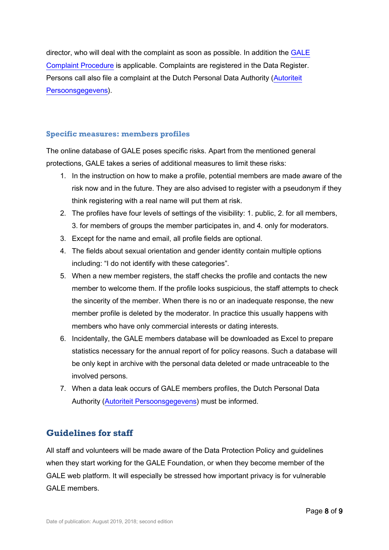director, who will deal with the complaint as soon as possible. In addition the [GALE](https://www.gale.info/doc/GALE-policy/GALE-Complaint-Procedure-2015.pdf)  [Complaint Procedure](https://www.gale.info/doc/GALE-policy/GALE-Complaint-Procedure-2015.pdf) is applicable. Complaints are registered in the Data Register. Persons call also file a complaint at the Dutch Personal Data Authority [\(Autoriteit](https://autoriteitpersoonsgegevens.nl/)  [Persoonsgegevens\)](https://autoriteitpersoonsgegevens.nl/).

## **Specific measures: members profiles**

The online database of GALE poses specific risks. Apart from the mentioned general protections, GALE takes a series of additional measures to limit these risks:

- 1. In the instruction on how to make a profile, potential members are made aware of the risk now and in the future. They are also advised to register with a pseudonym if they think registering with a real name will put them at risk.
- 2. The profiles have four levels of settings of the visibility: 1. public, 2. for all members, 3. for members of groups the member participates in, and 4. only for moderators.
- 3. Except for the name and email, all profile fields are optional.
- 4. The fields about sexual orientation and gender identity contain multiple options including: "I do not identify with these categories".
- 5. When a new member registers, the staff checks the profile and contacts the new member to welcome them. If the profile looks suspicious, the staff attempts to check the sincerity of the member. When there is no or an inadequate response, the new member profile is deleted by the moderator. In practice this usually happens with members who have only commercial interests or dating interests.
- 6. Incidentally, the GALE members database will be downloaded as Excel to prepare statistics necessary for the annual report of for policy reasons. Such a database will be only kept in archive with the personal data deleted or made untraceable to the involved persons.
- 7. When a data leak occurs of GALE members profiles, the Dutch Personal Data Authority [\(Autoriteit Persoonsgegevens\)](https://autoriteitpersoonsgegevens.nl/) must be informed.

## **Guidelines for staff**

All staff and volunteers will be made aware of the Data Protection Policy and guidelines when they start working for the GALE Foundation, or when they become member of the GALE web platform. It will especially be stressed how important privacy is for vulnerable GALE members.